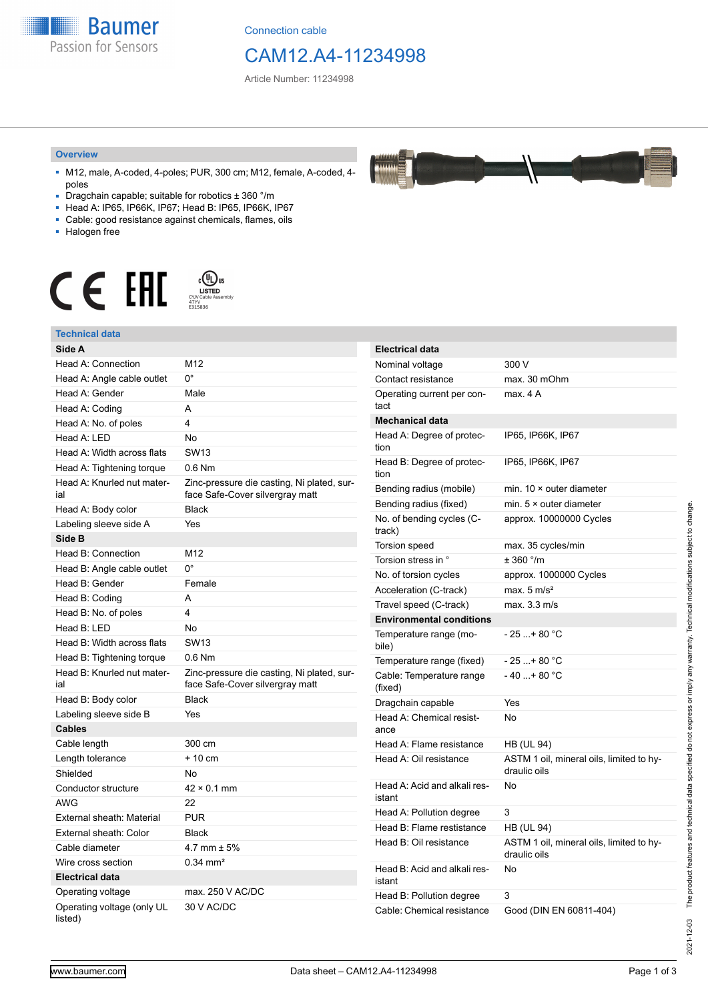**Baumer** Passion for Sensors

Connection cable

## CAM12.A4-11234998

Article Number: 11234998

#### **Overview**

- M12, male, A-coded, 4-poles; PUR, 300 cm; M12, female, A-coded, 4 poles
- Dragchain capable; suitable for robotics ± 360 °/m
- Head A: IP65, IP66K, IP67; Head B: IP65, IP66K, IP67
- Cable: good resistance against chemicals, flames, oils
- Halogen free



## **Technical data**

| Side A                                |                                                                               | <b>Electrical data</b>                 |                                          |
|---------------------------------------|-------------------------------------------------------------------------------|----------------------------------------|------------------------------------------|
| <b>Head A: Connection</b>             | M12                                                                           | Nominal voltage                        | 300 V                                    |
| Head A: Angle cable outlet            | $0^{\circ}$                                                                   | Contact resistance                     | max. 30 mOhm                             |
| Head A: Gender                        | Male                                                                          | Operating current per con-             | max. 4 A                                 |
| Head A: Coding                        | A                                                                             | tact                                   |                                          |
| Head A: No. of poles                  | 4                                                                             | <b>Mechanical data</b>                 |                                          |
| Head A: LED                           | No                                                                            | Head A: Degree of protec-              | IP65, IP66K, IP67                        |
| Head A: Width across flats            | <b>SW13</b>                                                                   | tion                                   |                                          |
| Head A: Tightening torque             | 0.6 Nm                                                                        | Head B: Degree of protec-<br>tion      | IP65, IP66K, IP67                        |
| Head A: Knurled nut mater-<br>ial     | Zinc-pressure die casting, Ni plated, sur-<br>face Safe-Cover silvergray matt | Bending radius (mobile)                | min. $10 \times$ outer diameter          |
| Head A: Body color                    | <b>Black</b>                                                                  | Bending radius (fixed)                 | min. $5 \times$ outer diameter           |
| Labeling sleeve side A                | Yes                                                                           | No. of bending cycles (C-<br>track)    | approx. 10000000 Cycles                  |
| Side B                                |                                                                               | Torsion speed                          | max. 35 cycles/min                       |
| Head B: Connection                    | M12                                                                           | Torsion stress in °                    | ± 360 °/m                                |
| Head B: Angle cable outlet            | $0^{\circ}$                                                                   | No. of torsion cycles                  | approx. 1000000 Cycles                   |
| Head B: Gender                        | Female                                                                        | Acceleration (C-track)                 | max. $5 \text{ m/s}^2$                   |
| Head B: Coding                        | A                                                                             | Travel speed (C-track)                 | max. 3.3 m/s                             |
| Head B: No. of poles                  | 4                                                                             | <b>Environmental conditions</b>        |                                          |
| Head B: LED                           | No                                                                            | Temperature range (mo-                 | $-25+80 °C$                              |
| Head B: Width across flats            | <b>SW13</b>                                                                   | bile)                                  |                                          |
| Head B: Tightening torque             | $0.6$ Nm                                                                      | Temperature range (fixed)              | $-25+80 °C$                              |
| Head B: Knurled nut mater-<br>ial     | Zinc-pressure die casting, Ni plated, sur-<br>face Safe-Cover silvergray matt | Cable: Temperature range<br>(fixed)    | $-40+80 °C$                              |
| Head B: Body color                    | <b>Black</b>                                                                  | Dragchain capable                      | Yes                                      |
| Labeling sleeve side B                | Yes                                                                           | Head A: Chemical resist-<br>ance       | No                                       |
| <b>Cables</b>                         |                                                                               |                                        |                                          |
| Cable length                          | 300 cm                                                                        | Head A: Flame resistance               | <b>HB (UL 94)</b>                        |
| Length tolerance                      | $+10$ cm                                                                      | Head A: Oil resistance                 | ASTM 1 oil, mineral oils, limited to hy- |
| Shielded                              | No                                                                            |                                        | draulic oils                             |
| Conductor structure                   | $42 \times 0.1$ mm                                                            | Head A: Acid and alkali res-<br>istant | No                                       |
| AWG                                   | 22                                                                            | Head A: Pollution degree               | 3                                        |
| External sheath: Material             | <b>PUR</b>                                                                    | Head B: Flame restistance              | <b>HB (UL 94)</b>                        |
| External sheath: Color                | <b>Black</b>                                                                  | Head B: Oil resistance                 | ASTM 1 oil, mineral oils, limited to hy- |
| Cable diameter                        | 4.7 mm $\pm$ 5%                                                               |                                        | draulic oils                             |
| Wire cross section                    | $0.34 \, \text{mm}^2$                                                         | Head B: Acid and alkali res-           | No                                       |
| <b>Electrical data</b>                |                                                                               | istant                                 |                                          |
| Operating voltage                     | max. 250 V AC/DC                                                              | Head B: Pollution degree               | 3                                        |
| Operating voltage (only UL<br>listed) | 30 V AC/DC                                                                    | Cable: Chemical resistance             | Good (DIN EN 60811-404)                  |

2021-12-03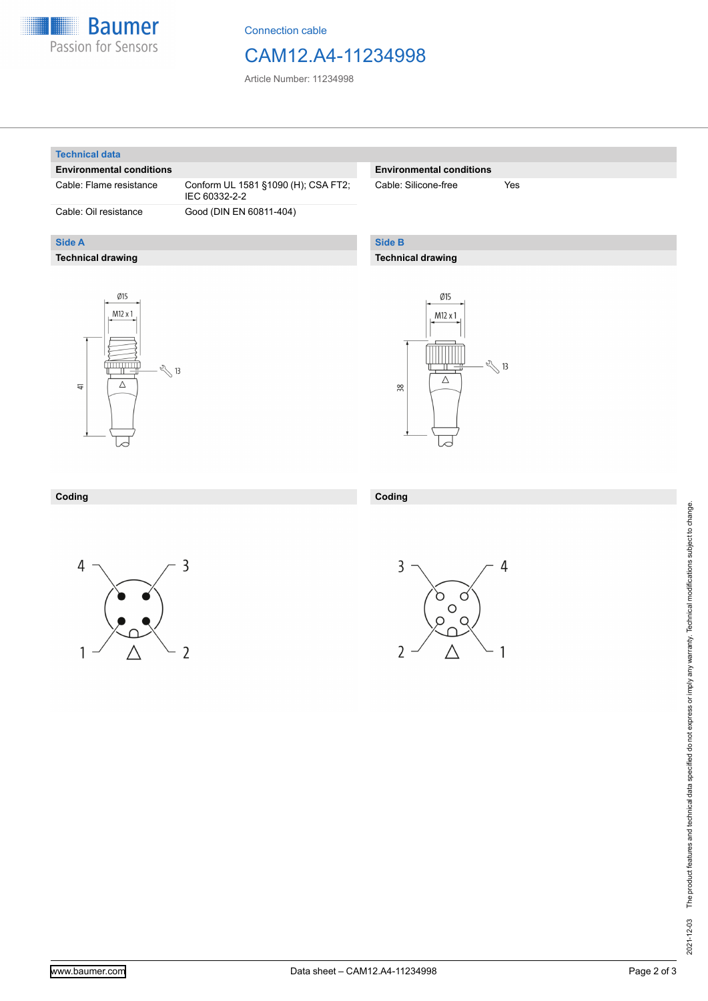

Connection cable

## CAM12.A4-11234998

Article Number: 11234998

#### **Technical data**

**Side A**

### **Environmental conditions**

**Technical drawing**

Cable: Flame resistance Conform UL 1581 §1090 (H); CSA FT2; IEC 60332-2-2 Cable: Oil resistance Good (DIN EN 60811-404)

### **Environmental conditions**

Cable: Silicone-free Yes

### **Side B**

### **Technical drawing**





#### **Coding**





**Coding**